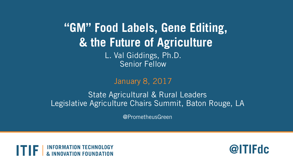**"GM" Food Labels, Gene Editing, & the Future of Agriculture** 

> L. Val Giddings, Ph.D. Senior Fellow

#### January 8, 2017

#### State Agricultural & Rural Leaders Legislative Agriculture Chairs Summit, Baton Rouge, LA

@PrometheusGreen



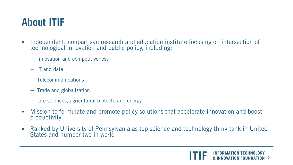# **About ITIF**

- Independent, nonpartisan research and education institute focusing on intersection of technological innovation and public policy, including:
	- Innovation and competitiveness
	- IT and data
	- Telecommunications
	- Trade and globalization
	- Life sciences, agricultural biotech, and energy
- Mission to formulate and promote policy solutions that accelerate innovation and boost productivity
- Ranked by University of Pennsylvania as top science and technology think tank in United States and number two in world

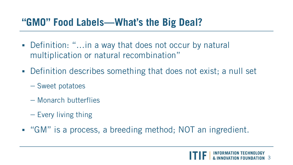#### **"GMO" Food Labels—What's the Big Deal?**

- Definition: "...in a way that does not occur by natural multiplication or natural recombination"
- Definition describes something that does not exist; a null set
	- Sweet potatoes
	- Monarch butterflies
	- Every living thing
- "GM" is a process, a breeding method; NOT an ingredient.

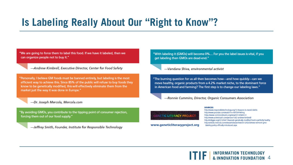# **Is Labeling Really About Our "Right to Know"?**

"We are going to force them to label this food. If we have it labeled, then we can organize people not to buy it."

-Andrew Kimbrell, Executive Director, Center for Food Safety

"Personally, I believe GM foods must be banned entirely, but labeling is the most efficient way to achieve this. Since 85% of the public will refuse to buy foods they know to be genetically modified, this will effectively eliminate them from the market just the way it was done in Europe."

-Dr. Joseph Mercola, Mercola.com

"By avoiding GMOs, you contribute to the tipping point of consumer rejection, forcing them out of our food supply."

-Jeffrey Smith, Founder, Institute for Responsible Technology

"With labeling it (GMOs) will become 0%... For you the label issues is vital, if you get labeling then GMOs are dead-end."

-Vandana Shiva, environmental activist

**GENETIC LITERACY PROJECT** 

www.geneticliteracyproject.org

"The burning question for us all then becomes how-and how quickly-can we move healthy, organic products from a 4.2% market niche, to the dominant force in American food and farming? The first step is to change our labeling laws."

-Ronnie Cummins, Director, Organic Consumers Association

#### **SOURCES:**

http://www.responsibletechnology.org/10-Reasons-to-Avoid-GMOs http://www.youtube.com/watch?v=HkFf39YWtmg https://www.commondreams.org/view/2012/08/02-0 http://www.activistcash.com/person/1562-andrew-kimbrell/ http://vtdigger.org/2012/04/17/wanzek-genetically-modified-food-is-perfectly-healthy http://articles.mercola.com/sites/articles/archive/2012/02/29/new-vermont-gmolabeling-policy-officially-introduced.aspx

**TE INFORMATION TECHNOLOGY & INNOVATION FOUNDATION 4**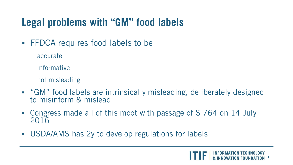### **Legal problems with "GM" food labels**

- **FFDCA requires food labels to be** 
	- accurate
	- informative
	- not misleading
- "GM" food labels are intrinsically misleading, deliberately designed to misinform & mislead
- Congress made all of this moot with passage of S 764 on 14 July 2016
- USDA/AMS has 2y to develop regulations for labels

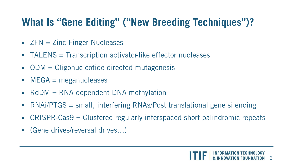# **What Is "Gene Editing" ("New Breeding Techniques")?**

- $ZFN = Zinc$  Finger Nucleases
- TALENS = Transcription activator-like effector nucleases
- $\blacksquare$  ODM  $\blacksquare$  Oligonucleotide directed mutagenesis
- $MEGA = meganucleases$
- $\blacksquare$  RdDM  $\blacksquare$  RNA dependent DNA methylation
- RNAi/PTGS = small, interfering RNAs/Post translational gene silencing
- CRISPR-Cas9 = Clustered regularly interspaced short palindromic repeats
- (Gene drives/reversal drives…)

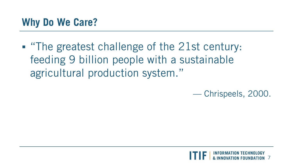### **Why Do We Care?**

 "The greatest challenge of the 21st century: feeding 9 billion people with a sustainable agricultural production system."

— Chrispeels, 2000.

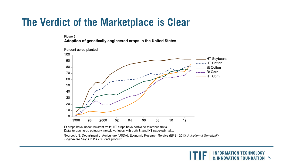#### **The Verdict of the Marketplace is Clear**

#### Figure 5

Adoption of genetically engineered crops in the United States



Bt crops have insect resistant traits; HT crops have herbicide tolerance traits. Data for each crop category include varieties with both Bt and HT (stacked) traits.

Source: U.S. Department of Agriculture (USDA), Economic Research Service (ERS). 2013. Adoption of Genetically Engineered Crops in the U.S. data product.

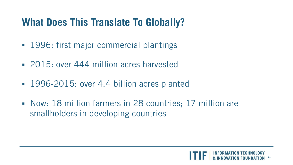### **What Does This Translate To Globally?**

- 1996: first major commercial plantings
- 2015: over 444 million acres harvested
- 1996-2015: over 4.4 billion acres planted
- Now: 18 million farmers in 28 countries; 17 million are smallholders in developing countries

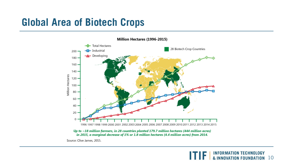### **Global Area of Biotech Crops**



Source: Clive James, 2015.

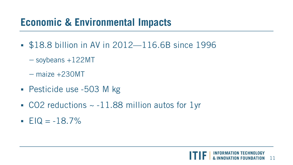# **Economic & Environmental Impacts**

- **\$18.8 billion in AV in 2012—116.6B since 1996** 
	- $-$  soybeans  $+122$ MT
	- maize +230MT
- Pesticide use -503 M kg
- $\sim$  CO2 reductions  $\sim$  -11.88 million autos for 1yr
- $EIQ = -18.7\%$

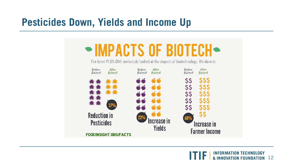#### **Pesticides Down, Yields and Income Up**



**INFORMATION TECHNOLOGY & INNOVATION FOUNDATION** 12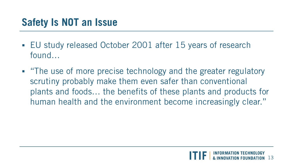# **Safety Is NOT an Issue**

- EU study released October 2001 after 15 years of research found…
- "The use of more precise technology and the greater regulatory scrutiny probably make them even safer than conventional plants and foods… the benefits of these plants and products for human health and the environment become increasingly clear."

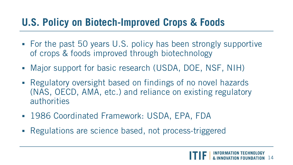### **U.S. Policy on Biotech-Improved Crops & Foods**

- For the past 50 years U.S. policy has been strongly supportive of crops & foods improved through biotechnology
- Major support for basic research (USDA, DOE, NSF, NIH)
- Regulatory oversight based on findings of no novel hazards (NAS, OECD, AMA, etc.) and reliance on existing regulatory authorities
- 1986 Coordinated Framework: USDA, EPA, FDA
- Regulations are science based, not process-triggered

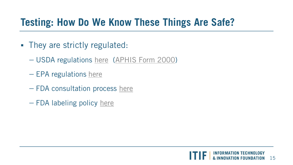# **Testing: How Do We Know These Things Are Safe?**

- They are strictly regulated:
	- USDA regulations [here](http://www.aphis.usda.gov/wps/portal/aphis/home/?1dmy&urile=wcm:path:/aphis_content_library/sa_our_focus/sa_biotechnology/ct_biotechnology) ([APHIS Form 2000\)](http://www.aphis.usda.gov/brs/pdf/2000.pdf)
	- EPA regulations [here](http://www.epa.gov/oppbppd1/biopesticides/pips/pip_list.htm)
	- FDA consultation process [here](http://www.accessdata.fda.gov/scripts/fdcc/?set=Biocon)
	- FDA labeling policy [here](http://www.fda.gov/food/guidanceregulation/guidancedocumentsregulatoryinformation/ucm059098.htm)

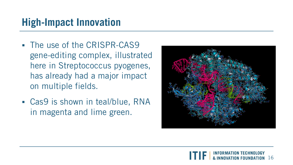# **High-Impact Innovation**

- The use of the CRISPR-CAS9 gene-editing complex, illustrated here in Streptococcus pyogenes, has already had a major impact on multiple fields.
- Cas9 is shown in teal/blue, RNA in magenta and lime green.



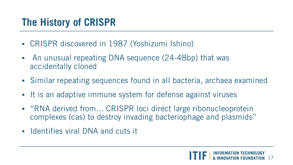# **The History of CRISPR**

- CRISPR discovered in 1987 (Yoshizumi Ishino)
- An unusual repeating DNA sequence (24-48bp) that was accidentally cloned
- Similar repeating sequences found in all bacteria, archaea examined
- It is an adaptive immune system for defense against viruses
- "RNA derived from... CRISPR loci direct large ribonucleoprotein complexes (cas) to destroy invading bacteriophage and plasmids"
- **IDENTIFIELD IN A FIGURE 11** Identifies viral DNA and cuts it

![](_page_16_Picture_7.jpeg)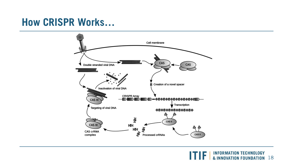#### **How CRISPR Works…**

![](_page_17_Figure_1.jpeg)

**TTF | INFORMATION TECHNOLOGY** & INNOVATION FOUNDATION 18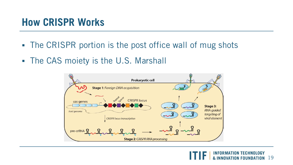#### **How CRISPR Works**

- The CRISPR portion is the post office wall of mug shots
- The CAS moiety is the U.S. Marshall

![](_page_18_Figure_3.jpeg)

![](_page_18_Picture_4.jpeg)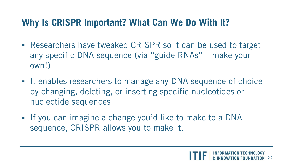#### **Why Is CRISPR Important? What Can We Do With It?**

- Researchers have tweaked CRISPR so it can be used to target any specific DNA sequence (via "guide RNAs" – make your own!)
- If enables researchers to manage any DNA sequence of choice by changing, deleting, or inserting specific nucleotides or nucleotide sequences
- If you can imagine a change you'd like to make to a DNA sequence, CRISPR allows you to make it.

![](_page_19_Picture_4.jpeg)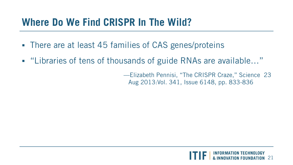### **Where Do We Find CRISPR In The Wild?**

- There are at least 45 families of CAS genes/proteins
- "Libraries of tens of thousands of guide RNAs are available..."

—Elizabeth Pennisi, "The CRISPR Craze," Science 23 Aug 2013:Vol. 341, Issue 6148, pp. 833-836

![](_page_20_Picture_4.jpeg)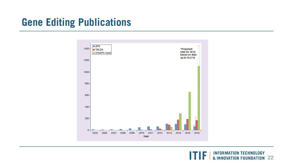# **Gene Editing Publications**

![](_page_21_Figure_1.jpeg)

**INFORMATION TECHNOLOGY<br>& INNOVATION FOUNDATION** 22 ITIFI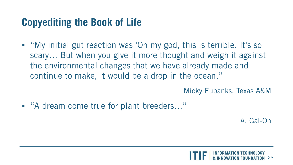"My initial gut reaction was 'Oh my god, this is terrible. It's so scary… But when you give it more thought and weigh it against the environmental changes that we have already made and continue to make, it would be a drop in the ocean."

– Micky Eubanks, Texas A&M

■ "A dream come true for plant breeders..."

– A. Gal-On

![](_page_22_Picture_5.jpeg)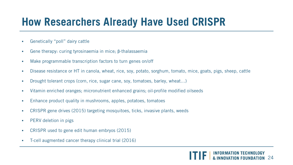# **How Researchers Already Have Used CRISPR**

- Genetically "poll" dairy cattle
- Gene therapy: curing tyrosinaemia in mice; β-thalassaemia
- Make programmable transcription factors to turn genes on/off
- Disease resistance or HT in canola, wheat, rice, soy, potato, sorghum, tomato, mice, goats, pigs, sheep, cattle
- Drought tolerant crops (corn, rice, sugar cane, soy, tomatoes, barley, wheat...)
- Vitamin enriched oranges; micronutrient enhanced grains; oil-profile modified oilseeds
- Enhance product quality in mushrooms, apples, potatoes, tomatoes
- CRISPR gene drives (2015) targeting mosquitoes, ticks, invasive plants, weeds
- **PERV** deletion in pigs
- CRISPR used to gene edit human embryos (2015)
- T-cell augmented cancer therapy clinical trial (2016)

![](_page_23_Picture_12.jpeg)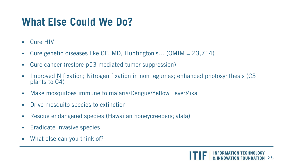# **What Else Could We Do?**

- **E** Cure HIV
- Cure genetic diseases like CF, MD, Huntington's… (OMIM = 23,714)
- Cure cancer (restore p53-mediated tumor suppression)
- Improved N fixation; Nitrogen fixation in non legumes; enhanced photosynthesis (C3 plants to C4)
- Make mosquitoes immune to malaria/Dengue/Yellow Fever/Zika
- **•** Drive mosquito species to extinction
- Rescue endangered species (Hawaiian honeycreepers; alala)
- **Eradicate invasive species**
- What else can you think of?

![](_page_24_Picture_10.jpeg)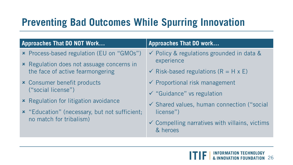# **Preventing Bad Outcomes While Spurring Innovation**

#### **Approaches That DO NOT Work… Approaches That DO work…**

- Process-based regulation (EU on "GMOs")
- **\*** Regulation does not assuage concerns in the face of active fearmongering
- Consumer benefit products ("social license")
- **\*** Regulation for litigation avoidance
- "Education" (necessary, but not sufficient; no match for tribalism)

- Policy & regulations grounded in data & experience
- $\checkmark$  Risk-based regulations (R = H x E)
- $\checkmark$  Proportional risk management
- $\checkmark$  "Guidance" vs regulation
- $\checkmark$  Shared values, human connection ("social license")
- $\checkmark$  Compelling narratives with villains, victims & heroes

26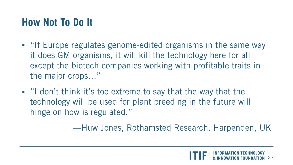# **How Not To Do It**

- **If Europe regulates genome-edited organisms in the same way** it does GM organisms, it will kill the technology here for all except the biotech companies working with profitable traits in the major crops…"
- "I don't think it's too extreme to say that the way that the technology will be used for plant breeding in the future will hinge on how is regulated."

—Huw Jones, Rothamsted Research, Harpenden, UK

![](_page_26_Picture_4.jpeg)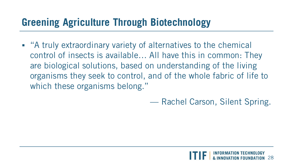# **Greening Agriculture Through Biotechnology**

■ "A truly extraordinary variety of alternatives to the chemical control of insects is available… All have this in common: They are biological solutions, based on understanding of the living organisms they seek to control, and of the whole fabric of life to which these organisms belong."

— Rachel Carson, Silent Spring.

![](_page_27_Picture_3.jpeg)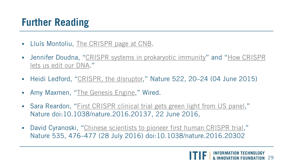# **Further Reading**

- **Lluís Montoliu, The CRISPR [page at CNB.](http://wwwuser.cnb.csic.es/%7Emontoliu/CRISPR/)**
- **[Jennifer Doudna, "](https://www.ted.com/talks/jennifer_doudna_we_can_now_edit_our_dna_but_let_s_do_it_wisely)[CRISPR systems in prokaryotic immunit](http://rna.berkeley.edu/crispr.html)y" and "How CRISPR** lets us edit our DNA."
- Heidi Ledford, "[CRISPR, the disruptor,](http://www.nature.com/news/crispr-the-disruptor-1.17673)" Nature 522, 20–24 (04 June 2015)
- Amy Maxmen, ["The Genesis Engine,](https://www.wired.com/2015/07/crispr-dna-editing-2/)" Wired.
- Sara Reardon, ["First CRISPR clinical trial gets green light from US panel,](http://www.nature.com/news/first-crispr-clinical-trial-gets-green-light-from-us-panel-1.20137)" Nature doi:10.1038/nature.2016.20137, 22 June 2016,
- David Cyranoski, ["Chinese scientists to pioneer first human CRISPR trial,](http://www.nature.com/news/chinese-scientists-to-pioneer-first-human-crispr-trial-1.20302)" Nature 535, 476–477 (28 July 2016) doi:10.1038/nature.2016.20302

![](_page_28_Picture_7.jpeg)